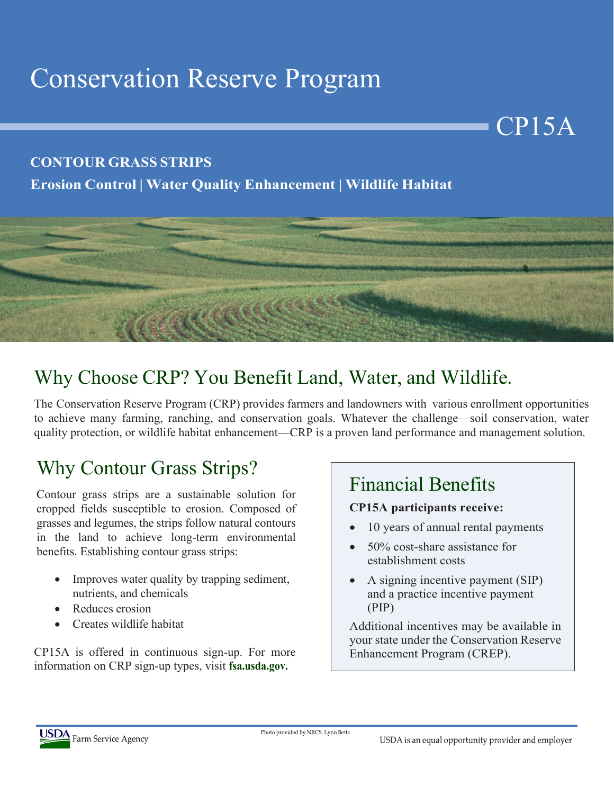# Conservation Reserve Program

#### **CONTOUR GRASS STRIPS**

### **Erosion Control | Water Quality Enhancement | Wildlife Habitat**



## Why Choose CRP? You Benefit Land, Water, and Wildlife.

The Conservation Reserve Program (CRP) provides farmers and landowners with various enrollment opportunities to achieve many farming, ranching, and conservation goals. Whatever the challenge—soil conservation, water quality protection, or wildlife habitat enhancement—CRP is a proven land performance and management solution.

## Why Contour Grass Strips?

Contour grass strips are a sustainable solution for cropped fields susceptible to erosion. Composed of grasses and legumes, the strips follow natural contours in the land to achieve long-term environmental benefits. Establishing contour grass strips:

- Improves water quality by trapping sediment, nutrients, and chemicals
- Reduces erosion
- Creates wildlife habitat

CP15A is offered in continuous sign-up. For more information on CRP sign-up types, visit **fsa.usda.gov.**

### Financial Benefits

#### **CP15A participants receive:**

• 10 years of annual rental payments

CP15A

- 50% cost-share assistance for establishment costs
- A signing incentive payment (SIP) and a practice incentive payment (PIP)

Additional incentives may be available in your state under the Conservation Reserve Enhancement Program (CREP).